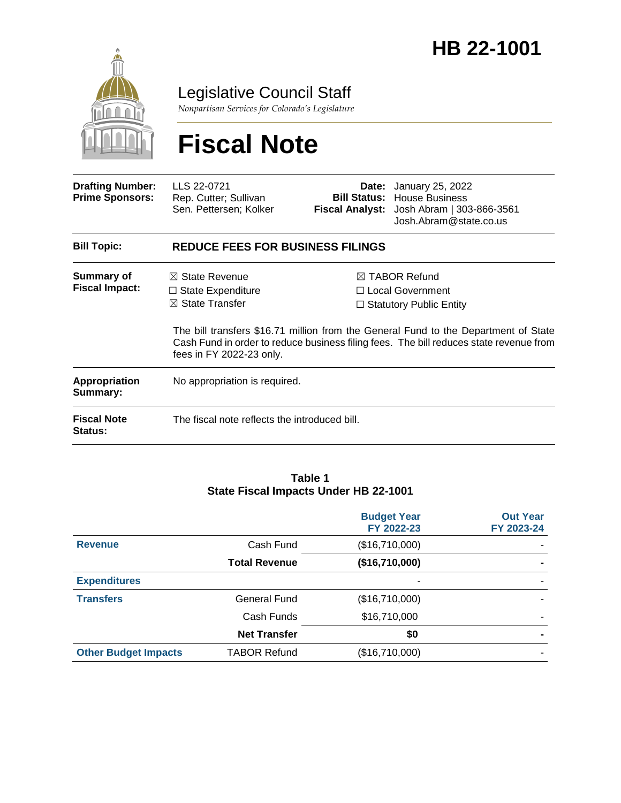

Legislative Council Staff

*Nonpartisan Services for Colorado's Legislature*

# **Fiscal Note**

| <b>Drafting Number:</b><br><b>Prime Sponsors:</b> | LLS 22-0721<br>Rep. Cutter; Sullivan<br>Sen. Pettersen; Kolker                      |  | <b>Date:</b> January 25, 2022<br><b>Bill Status: House Business</b><br>Fiscal Analyst: Josh Abram   303-866-3561<br>Josh.Abram@state.co.us                                                                                                                        |  |
|---------------------------------------------------|-------------------------------------------------------------------------------------|--|-------------------------------------------------------------------------------------------------------------------------------------------------------------------------------------------------------------------------------------------------------------------|--|
| <b>Bill Topic:</b>                                | <b>REDUCE FEES FOR BUSINESS FILINGS</b>                                             |  |                                                                                                                                                                                                                                                                   |  |
| Summary of<br><b>Fiscal Impact:</b>               | $\boxtimes$ State Revenue<br>$\Box$ State Expenditure<br>$\boxtimes$ State Transfer |  | $\boxtimes$ TABOR Refund<br>□ Local Government<br>$\Box$ Statutory Public Entity<br>The bill transfers \$16.71 million from the General Fund to the Department of State<br>Cash Fund in order to reduce business filing fees. The bill reduces state revenue from |  |
| Appropriation<br>Summary:                         | fees in FY 2022-23 only.<br>No appropriation is required.                           |  |                                                                                                                                                                                                                                                                   |  |
| <b>Fiscal Note</b><br><b>Status:</b>              | The fiscal note reflects the introduced bill.                                       |  |                                                                                                                                                                                                                                                                   |  |

#### **Table 1 State Fiscal Impacts Under HB 22-1001**

|                             |                      | <b>Budget Year</b><br>FY 2022-23 | <b>Out Year</b><br>FY 2023-24 |
|-----------------------------|----------------------|----------------------------------|-------------------------------|
| <b>Revenue</b>              | Cash Fund            | (\$16,710,000)                   |                               |
|                             | <b>Total Revenue</b> | (\$16,710,000)                   |                               |
| <b>Expenditures</b>         |                      |                                  |                               |
| <b>Transfers</b>            | General Fund         | (\$16,710,000)                   |                               |
|                             | Cash Funds           | \$16,710,000                     | -                             |
|                             | <b>Net Transfer</b>  | \$0                              |                               |
| <b>Other Budget Impacts</b> | <b>TABOR Refund</b>  | (\$16,710,000)                   |                               |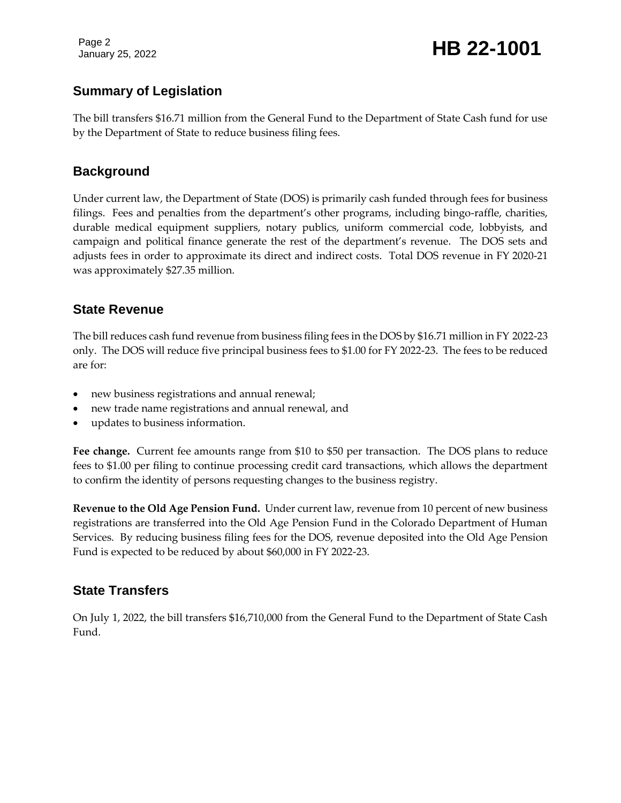Page 2

### January 25, 2022 **HB 22-1001**

#### **Summary of Legislation**

The bill transfers \$16.71 million from the General Fund to the Department of State Cash fund for use by the Department of State to reduce business filing fees.

#### **Background**

Under current law, the Department of State (DOS) is primarily cash funded through fees for business filings. Fees and penalties from the department's other programs, including bingo-raffle, charities, durable medical equipment suppliers, notary publics, uniform commercial code, lobbyists, and campaign and political finance generate the rest of the department's revenue. The DOS sets and adjusts fees in order to approximate its direct and indirect costs. Total DOS revenue in FY 2020-21 was approximately \$27.35 million.

#### **State Revenue**

The bill reduces cash fund revenue from business filing fees in the DOS by \$16.71 million in FY 2022-23 only. The DOS will reduce five principal business fees to \$1.00 for FY 2022-23. The fees to be reduced are for:

- new business registrations and annual renewal;
- new trade name registrations and annual renewal, and
- updates to business information.

**Fee change.** Current fee amounts range from \$10 to \$50 per transaction. The DOS plans to reduce fees to \$1.00 per filing to continue processing credit card transactions, which allows the department to confirm the identity of persons requesting changes to the business registry.

**Revenue to the Old Age Pension Fund.** Under current law, revenue from 10 percent of new business registrations are transferred into the Old Age Pension Fund in the Colorado Department of Human Services. By reducing business filing fees for the DOS, revenue deposited into the Old Age Pension Fund is expected to be reduced by about \$60,000 in FY 2022-23.

#### **State Transfers**

On July 1, 2022, the bill transfers \$16,710,000 from the General Fund to the Department of State Cash Fund.